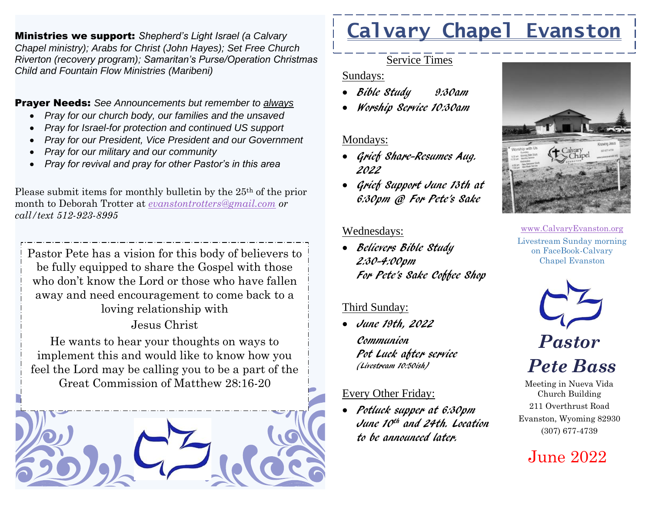Ministries we support: *Shepherd's Light Israel (a Calvary Chapel ministry); Arabs for Christ (John Hayes); Set Free Church Riverton (recovery program); Samaritan's Purse/Operation Christmas Child and Fountain Flow Ministries (Maribeni)*

Prayer Needs: *See Announcements but remember to always*

- *Pray for our church body, our families and the unsaved*
- *Pray for Israel-for protection and continued US support*
- *Pray for our President, Vice President and our Government*
- *Pray for our military and our community*
- *Pray for revival and pray for other Pastor's in this area*

Please submit items for monthly bulletin by the 25th of the prior month to Deborah Trotter at *[evanstontrotters@gmail.com](mailto:evanstontrotters@gmail.com) or call/text 512-923-8995*

Pastor Pete has a vision for this body of believers to be fully equipped to share the Gospel with those who don't know the Lord or those who have fallen away and need encouragement to come back to a loving relationship with

Jesus Christ

He wants to hear your thoughts on ways to implement this and would like to know how you feel the Lord may be calling you to be a part of the Great Commission of Matthew 28:16-20



# **Calvary Chapel Evanston**

### Service Times

### Sundays:

- Bible Study 9:30am
- Worship Service 10:30am

### Mondays:

- Grief Share-Resumes Aug. 2022
- Grief Support June 13th at 6:30pm @ For Pete's Sake

### Wednesdays:

• Believers Bible Study 2:30-4:00pm For Pete's Sake Coffee Shop

### Third Sunday:

• June 19th, 2022 Communion Pot Luck after service (Livestream 10:50ish)

## Every Other Friday:

• Potluck supper at 6:30pm June 10th and 24th. Location to be announced later.



[www.CalvaryEvanston.org](http://www.calvaryevanston.org/) Livestream Sunday morning on FaceBook-Calvary Chapel Evanston



*Pete Bass*

Meeting in Nueva Vida Church Building 211 Overthrust Road Evanston, Wyoming 82930 (307) 677-4739

# June 2022